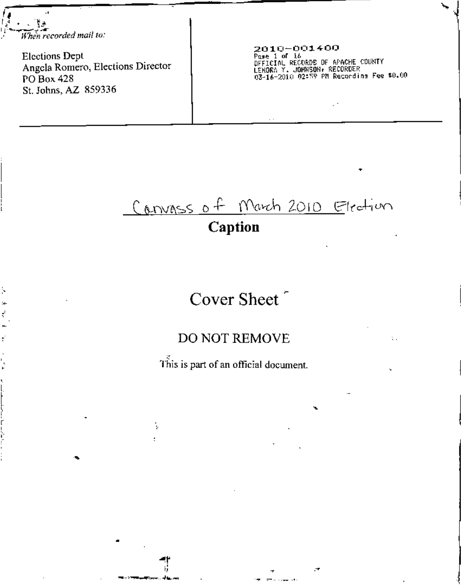$\sqrt{1-\frac{1}{2}}$ I- \_....---~.....- *.' When recorded mail 10:*

ļ.

Ņ

i<br>I c i. ,'-

**Elections Dept Angela Romero, Elections Director PO** Box 428 **St. Johns, AZ 859336**

•

~t , י<br>"

Þ

ः ।<br>स्यान् अस्मिन्त्यसम्पर्कतन्तुः चौक्केन्द्रसम्<br>स्यान् अस्मिन्त्यसम्पर्कतन्तुः चौक्केन्द्रसम्

**20** 1I:'~00:1400 **Port of I6**<br>Pase 1 of 16<br>OFFICIAL RECORDS OF APACHE COUNT L£~ORn*Y.* JOH~SO~,**RECORDER** Q3-1b-20HI02''i? PMR~~ocdj", F~~**lO.OO**

•

÷.

# Canvass of March 2010 Election

### **Caption**

## Cover Sheet

### DO NOT REMOVE

**This is part of an official document.**

•

,--'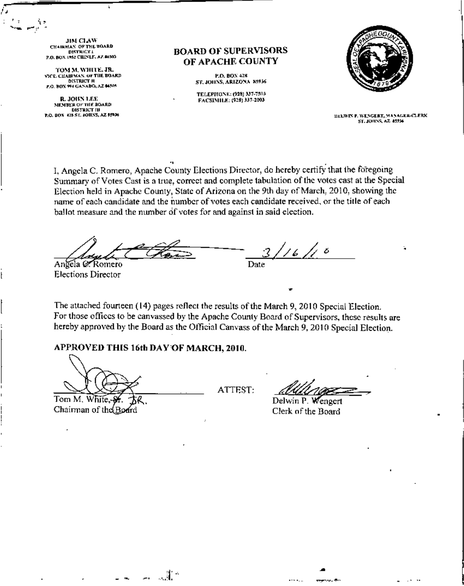JIM CLAW **CHAIRMAN OF THE BOARD DISTRICT!** P.O. BOX 1952 CILINLE, A7. 86505

TOM M. WHITE. JR. VICE, CHAIRWAN, OF THE BOARD **DISTRICT II** P.O. BOX 994 GANADO, AZ 04505

R. JOHN LEE MEMBER OF THE BOARD **DISTRICT III** P.O. BOX 428 ST. JOHNS, AZ 15936

#### **BOARD OF SUPERVISORS** OF APACHE COUNTY

P.O. BON 428 ST. JOHNS, ARIZONA 85936

TELEPHONE: (928) 337-7503 FACSIMILE: (928) 337-2003



DELWINE WENGERT, MANAGER-CLERK ST. JOHNS, AZ 45936

 $\mathbb{R}^{n \times n}$  as

I. Angela C. Romero, Apache County Elections Director, do hereby certify that the foregoing Summary of Votes Cast is a true, correct and complete tabulation of the votes cast at the Special Election held in Apache County, State of Arizona on the 9th day of March, 2010, showing the name of each candidate and the number of votes each candidate received, or the title of each ballot measure and the number of votes for and against in said election.

 $1/6$  /1  $\circ$ Angela & Romero Date **Elections Director** 

The attached fourteen (14) pages reflect the results of the March 9, 2010 Special Election. For those offices to be canvassed by the Apache County Board of Supervisors, these results are hereby approved by the Board as the Official Canvass of the March 9, 2010 Special Election.

#### APPROVED THIS 16th DAY OF MARCH, 2010.

一郎。

Tom M. Chairman of the Board

ATTEST:

Delwin P. Wengert Clerk of the Board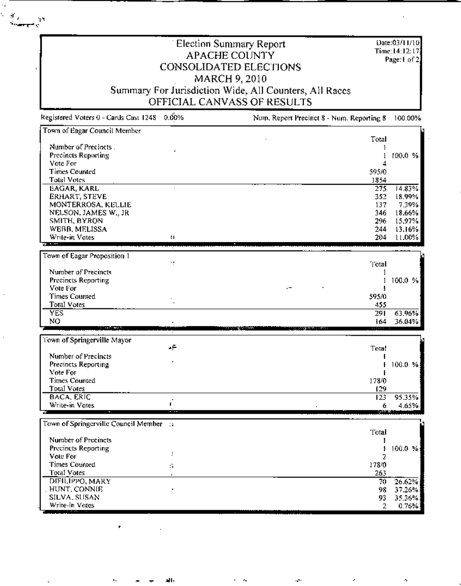**Election Summary Report** APACHE COUNTY **CONSOLIDATED ELECTIONS** MARCH 9, 2010 Summary For Jurisdiction Wide, All Counters, All Races OFFICIAL CANVASS OF RESULTS

s.

 $\frac{g_{\alpha}}{g_{\alpha}}$  ,  $\alpha$ 

Date:03/11/10  $Time: 14: 12: 17$ Page:1 of 2.

37.26%

 $\mathbf 2$ 

35.36%

0.76%

| Registered Voters 0 - Cards Cast 1248 | 0.00%          | Num, Report Precinct 8 - Num, Reporting 8 | 100.00% |
|---------------------------------------|----------------|-------------------------------------------|---------|
| Town of Eagar Council Member          |                |                                           |         |
|                                       |                | Total                                     |         |
| Number of Precincts.                  |                |                                           |         |
| Precincts Reporting                   |                | 1                                         | 100.0%  |
| Vote For                              |                |                                           |         |
| <b>Times Counted</b>                  |                | 595/0                                     |         |
| <b>Total Votes</b>                    |                | 1854                                      |         |
| <b>EAGAR, KARL</b>                    |                | 275                                       | 14.83%  |
| ERHART, STEVE                         |                | 352                                       | 18.99%  |
| MONTERROSA, KELLIE                    |                | 137                                       | 7.39%   |
| NELSON, JAMES W., JR                  |                | 346                                       | 18.66%  |
| SMITH, BYRON                          |                | 296                                       | 15.97%  |
| WEBB, MELISSA                         |                | 244                                       | 13.16%  |
| Write-in Votes                        | $\mathbf{H}$   | 204                                       | 11.00%  |
|                                       |                |                                           |         |
| Town of Eagar Proposition 1           |                |                                           |         |
|                                       | ÷              | Total                                     |         |
| Number of Precincts                   |                |                                           |         |
| <b>Precincts Reporting</b>            |                | 1                                         | 100.0%  |
| Vote For                              |                |                                           |         |
| <b>Times Counted</b>                  |                | 595/0                                     |         |
| Total Votes                           |                | 455                                       |         |
| <b>YES</b>                            |                | 291                                       | 63.96%  |
| NO                                    |                | 164                                       | 36.04%  |
| <b>Service Control</b>                |                |                                           |         |
| Town of Springerville Mayor           |                |                                           |         |
|                                       | 4Ė             | Total                                     |         |
| Number of Precincts                   |                |                                           |         |
| Precincts Reporting                   |                |                                           | 100.0 % |
| Vote For                              |                |                                           |         |
| <b>Times Counted</b>                  |                | 178/0                                     |         |
| Total Votes                           |                | 129                                       |         |
| <b>BACA, ERIC</b>                     |                | 123                                       | 95.35%  |
| Write-in Votes                        | I.             | 6                                         | 4.65%   |
|                                       |                |                                           |         |
| Town of Springerville Council Member  | $\mathbb{R}^2$ |                                           |         |
|                                       |                | Total                                     |         |
| Number of Precincts                   |                |                                           |         |
| <b>Precincts Reporting</b>            |                |                                           | 100.0 % |
| Vote For                              | Ŧ              | 7                                         |         |
| Times Counted                         |                | 178/0                                     |         |
|                                       | Ń.             |                                           |         |
| Total Votes                           |                | 263                                       |         |
| DIFILIPPO, MARY                       |                | 70                                        | 26.62%  |

DIFILIPPO, MARY HUNT, CONNIE 98 SILVA, SUSAN 93 Write-in Votes

J١.

 $\mathcal{F}_n$ 

ų.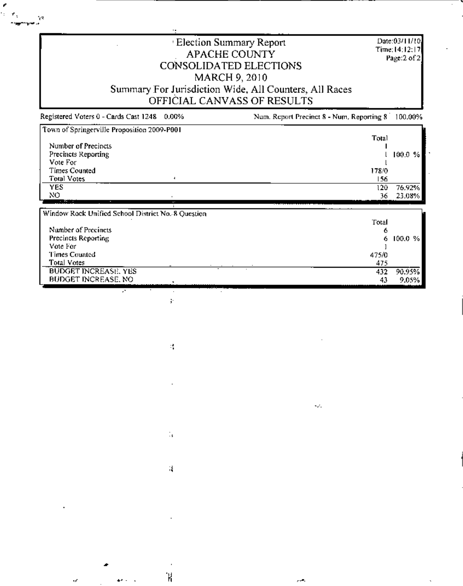**Election Summary Report** Date:03/11/10 Time: 14:12:17 APACHE COUNTY Page:2 of 2 CONSOLIDATED ELECTIONS MARCH 9, 2010 Summary For Jurisdiction Wide, All Counters, All Races OFFICIAL CANVASS OF RESULTS Registered Voters 0 - Cards Cast 1248 0.00% Num. Report Precinct 8 - Num. Reporting 8 100.00%  $\frac{1}{2000 \text{ PaB}}$  $\overline{z}$  or  $\overline{\phantom{0}}$ 

 $\mathbb{R}^2$ 

| Town of Springerville Proposition 2009-P001        | Total |         |
|----------------------------------------------------|-------|---------|
| Number of Precincts                                |       |         |
| Precincts Reporting                                |       | 100.0%  |
| Vote For                                           |       |         |
| Times Counted                                      | 178/0 |         |
| <b>Total Votes</b><br>۰                            | 156   |         |
| <b>YES</b>                                         | 120   | 76.92%  |
| NO                                                 | 36    | 23.08%  |
| $\overline{a}$<br>$\cdot$                          |       |         |
| Window Rock Unified School District No. 8 Question |       |         |
|                                                    | Total |         |
| Number of Precincts                                | 6     |         |
|                                                    |       |         |
| Precincts Reporting                                | 6     | 100.0 % |
| Vote For                                           |       |         |
| Times Counted                                      | 475/0 |         |
| Total Votes                                        | 475   |         |
| <b>BUDGET INCREASE, YES</b><br>BUDGET INCREASE, NO | 432   | 90.95%  |

 $\omega_{\rm eff}$ 

y.

 $\mathcal{C}$ 

 $\mathbb{I}_\mathsf{S}$ 

 $\epsilon$ 

Ή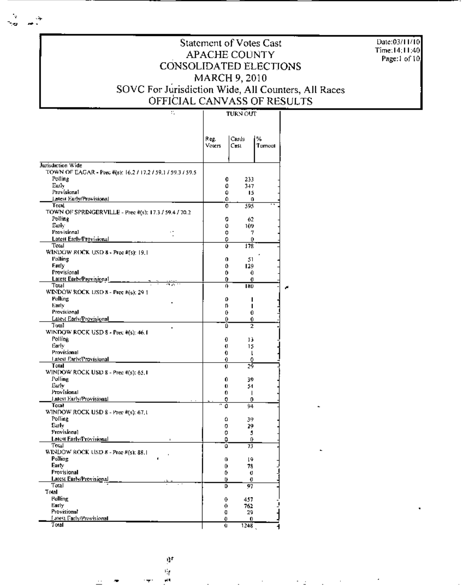Date:03/11/10 Time:14;11;40 Page:1 of 10.

#### Statement of Votes Cast APACHE COUNTY CONSOLIDATED ELECTIONS MARCH 9, 2010 SOVC For Jurisdiction Wide, All Counters, All Races OFFICIAL CANVASS OF RESULTS

#### $\overline{\text{max}}$ ┯

|                                                             |                | TUNN VUT            |             |
|-------------------------------------------------------------|----------------|---------------------|-------------|
|                                                             | Reg.<br>Voiers | Cards<br>Cast       | ₩<br>Tumout |
| Jurisdiction Wide                                           |                |                     |             |
| TOWN OF EAGAR - Prec #(s): 16.2 / 17.2 / 59.1 / 59.3 / 59.5 |                |                     |             |
| Polling                                                     |                | 233<br>0            |             |
| Early                                                       |                | 0<br>347            |             |
| Provisional                                                 |                | Û<br>15             |             |
| <b>Latest Early/Provisional</b>                             |                | 0<br>0              |             |
| Total                                                       |                | 595<br>0            |             |
| TOWN OF SPRINGERVILLE - Prec #(s): 17.3 / 59.4 / 70.2       |                |                     |             |
| Polling                                                     |                | 62<br>0             |             |
| Euriv                                                       |                | û<br>109            |             |
| Provisional                                                 |                | 0<br>7              |             |
| Latest Early/Provisional<br>Total                           |                | 0<br>0              |             |
|                                                             |                | 178<br>Û            |             |
| WINDOW ROCK USD 8 - Pree #(5): 19.1<br>Polling              |                |                     |             |
| Early                                                       |                | 0.<br>51<br>o       |             |
| Provisional                                                 |                | 129<br>0<br>0       |             |
| Latest Early/Provisional                                    |                | 0<br>o              |             |
| Total<br>mar.                                               |                | û<br>180            |             |
| WINDOW ROCK USD 8 - Prec #(s); 29 1                         |                |                     |             |
| Pulling                                                     |                | ٥<br>ı              |             |
| Early                                                       |                | п                   |             |
| Provisional                                                 |                | 0<br>0              |             |
| Latest Early/Provisional                                    |                | Û<br>0.             |             |
| Total                                                       |                | û<br>$\overline{2}$ |             |
| WINDOW ROCK USD 8 - Prec #(s): 46.1                         |                |                     |             |
| Polling                                                     |                | 0<br>13             |             |
| Early                                                       |                | O.<br>15            |             |
| Provisional                                                 |                | 0<br>ı              |             |
| Latest Early/Provisional                                    |                | 0<br>٥              |             |
| Total                                                       |                | 29<br>Ù             |             |
| WINDOW ROCK USD 8 - Prec #(s): 65.1                         |                |                     |             |
| Polling                                                     |                | 0.<br>39            |             |
| Eurly                                                       |                | 0<br>54             |             |
| Provisional<br>Latest Early/Provisional                     |                | 0.<br>I             |             |
| Total                                                       | 0<br>0         | 0<br>94             |             |
| WINDOW ROCK USD 8 - Prec #(s): 67,1                         |                |                     |             |
| Polling                                                     |                | 0<br>39             |             |
| Early                                                       |                | 0<br>29.            |             |
| Provisional                                                 |                | 0<br>5.             |             |
| Latest Early/Provisional                                    |                | 0<br>0              |             |
| Total                                                       | û              | 73                  |             |
| WINDOW ROCK USD $8$ - Prec $\#(s)$ : 88.1                   |                |                     |             |
| Polling                                                     | 0              | 19                  |             |
| Earty                                                       | 0              | 78                  |             |
| Provisional                                                 |                | 0<br>O.             |             |
| Latest Early/Provisional                                    |                | ŋ.<br>o             |             |
| $T$ otal                                                    | D              | 97                  |             |
| Total                                                       |                |                     |             |
| Polling                                                     | 0              | 457                 |             |
| Early                                                       | 0              | 762                 |             |
| Provisional                                                 | Ð              | 29                  |             |
| Latest Farly/Provisional                                    | Ð              | 0                   |             |
| Total                                                       | Ù.             | 1248                |             |

u.<br>≖

 $\mathbf{H}^{\mathbf{f}}$ 折

ø٩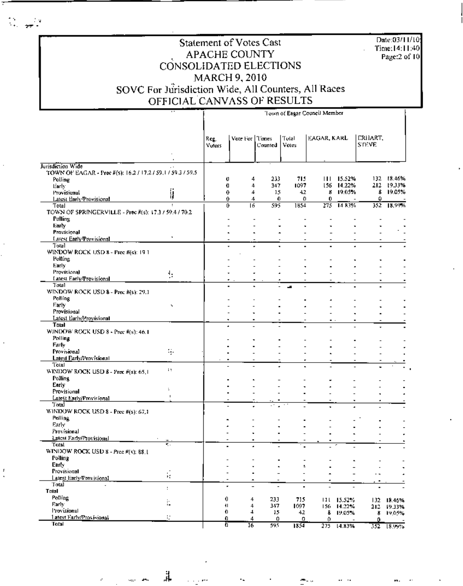Date:03/11/10 Time:14:11:40<br>Page:2 of 10

#### Statement of Votes Cast APACHE COUNTY CONSOLIDATED ELECTIONS MARCH 9, 2010 SOVC For Jurisdiction Wide, All Counters, All Races OFFICIAL CANVASS OF RESULTS

 $\sim$ 

÷

|                                                                                             |              | Town of Eagar Council Member |                               |                          |                          |                |                          |                                |                      |
|---------------------------------------------------------------------------------------------|--------------|------------------------------|-------------------------------|--------------------------|--------------------------|----------------|--------------------------|--------------------------------|----------------------|
|                                                                                             |              | Reg.<br>Voters               | Vote For l'Times              | Counted                  | Total<br>Votes           | EAGAR, KARL    |                          | <b>ERHART,</b><br><b>STEVE</b> |                      |
|                                                                                             |              |                              |                               |                          |                          |                |                          |                                |                      |
| Jurisdiction Wide<br>TOWN OF EAGAR - Prec #(s): 16.2 / 17.2 / 59.1 / 59.3 / 59.5<br>Polling |              |                              | Ü<br>4                        | 233                      | 715                      | $\blacksquare$ | 15.52%                   |                                | 132 18.46%           |
| tiarly                                                                                      |              |                              | O<br>4                        | 347                      | 1097                     |                | 156 14.22%               |                                | 212 19.33%           |
| <b>Provisional</b>                                                                          | ij           |                              | 0<br>4                        | 15                       | 42                       |                | 8 19.05%                 |                                | 8 19.05%             |
| Latest Early/Provisional                                                                    | $\cdot$      |                              | 0<br>4                        | 0                        | O                        | 0              |                          | 0                              |                      |
| Total<br>TOWN OF SPRINGERVILLE - Prec $\bar{\pi}(s)$ : 17.3 / 59.4 / 70.2                   |              |                              | 0<br>16                       | 595                      | 1854                     | 275            | 14.83%                   |                                | 352 18,99%           |
| Polling                                                                                     |              |                              |                               |                          |                          |                |                          |                                |                      |
| Early                                                                                       |              |                              |                               |                          |                          |                |                          |                                |                      |
| Provisional                                                                                 |              |                              |                               |                          |                          |                |                          |                                |                      |
| Larest Early/Provisional                                                                    |              |                              |                               |                          |                          |                |                          |                                |                      |
| Total<br>WINDOW ROCK USD 8 - Prec #(s): 19.1                                                |              |                              | ٠                             |                          | ٠                        |                |                          |                                |                      |
| Polling                                                                                     |              |                              |                               |                          |                          |                |                          |                                |                      |
| Early:                                                                                      |              |                              |                               |                          |                          |                |                          |                                |                      |
| Provisional                                                                                 | ţ,           |                              |                               |                          |                          |                |                          |                                |                      |
| Latest Early/Provisional                                                                    |              |                              | ٠                             |                          |                          |                |                          |                                |                      |
| Total                                                                                       |              |                              |                               |                          | J.                       |                |                          |                                |                      |
| WINDOW ROCK USD 8 - Prec #(s): 29.1<br><b>Polling</b>                                       |              |                              |                               |                          |                          |                |                          |                                |                      |
| Farly                                                                                       | ч            |                              |                               |                          |                          |                |                          |                                |                      |
| Provisional                                                                                 |              |                              | ٠                             |                          |                          |                |                          |                                |                      |
| Latest Eurly/Provisional                                                                    |              |                              | $\blacksquare$<br>٠           |                          |                          |                |                          |                                |                      |
| Total                                                                                       |              |                              | $\overline{a}$                |                          |                          |                |                          |                                |                      |
| WINDOW ROCK USD 8 - Prec #(s): 46.1                                                         |              |                              |                               |                          |                          |                |                          |                                |                      |
| Polling                                                                                     |              |                              |                               |                          |                          |                |                          |                                |                      |
| Farly<br>Provisional                                                                        | ą.           |                              |                               |                          |                          |                |                          |                                |                      |
| Latest Early/Provisional                                                                    |              |                              |                               |                          |                          |                |                          |                                |                      |
| <b>Total</b>                                                                                |              |                              |                               |                          |                          | ٠              |                          |                                |                      |
| WINDOW ROCK USD 8 - Prec #(s): 65.1                                                         | i t          |                              |                               |                          |                          |                |                          |                                |                      |
| <b>Polling</b>                                                                              |              |                              |                               |                          |                          |                |                          |                                |                      |
| Early                                                                                       | ÷            |                              |                               |                          |                          |                |                          |                                |                      |
| Provisional<br>Latest Early/Provisional                                                     | $\mathbf{I}$ |                              |                               |                          |                          |                |                          |                                |                      |
| Total                                                                                       |              |                              |                               |                          |                          |                | ٠                        |                                |                      |
| WINDOW ROCK USD 8 - Prec #(s): 67,1                                                         |              |                              |                               |                          |                          |                |                          |                                |                      |
| Polling                                                                                     |              |                              |                               |                          |                          |                |                          |                                |                      |
| Early                                                                                       |              |                              |                               |                          |                          |                |                          |                                |                      |
| Provisional                                                                                 |              |                              |                               |                          |                          |                |                          |                                |                      |
| Latest Farly/Provisional<br>Total                                                           | ۳.           |                              |                               |                          |                          |                |                          |                                |                      |
| WINDOW ROCK USD 8 - Pree #(s): 88.1                                                         |              |                              |                               |                          |                          |                |                          |                                |                      |
| <b>Polling</b>                                                                              |              |                              |                               |                          |                          |                |                          |                                |                      |
| Early                                                                                       |              |                              |                               |                          | ÷                        |                |                          |                                |                      |
| Provisional                                                                                 | ğ.           |                              | ٠                             | $\qquad \qquad -$        | $\overline{\phantom{a}}$ |                | $\overline{\phantom{a}}$ | - -                            |                      |
| Latest Early/Provisional                                                                    |              |                              | $\tilde{\phantom{a}}$         |                          | ٠                        | ٠              | $\overline{\phantom{a}}$ |                                |                      |
| Total<br>$\overline{\phantom{a}}$<br>Total                                                  | ÷            |                              | ٠<br>$\overline{\phantom{a}}$ | $\overline{\phantom{a}}$ | $\blacksquare$           |                | $\overline{a}$           | ٠                              |                      |
| Polling                                                                                     |              |                              | 0                             |                          |                          |                |                          |                                |                      |
| Early                                                                                       | ŀ.           |                              | 4<br>41<br>4                  | 233<br>347               | 715<br>1097              |                | 111 15.52%<br>156 14.22% |                                | 132 18:46%           |
| Provisional                                                                                 |              |                              | 0.<br>4                       | 15                       | 42                       | 8              | 19.05%                   | ij.                            | 212 19:33%<br>19,01% |
| 1 atest Early/Programal                                                                     | V.           |                              | 0.<br>4                       | 0                        | 0                        | 0.             |                          | o                              |                      |
| Total                                                                                       |              |                              | Ō<br>$\overline{16}$          | 595                      | 1854                     |                | 275 14.83%               |                                | 352 18.99%           |

ä.

ż,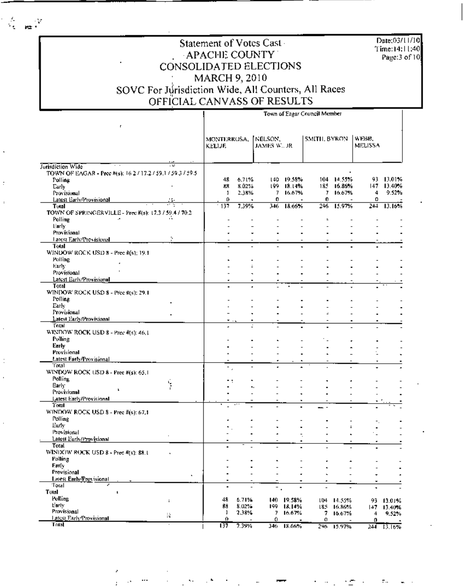Date:03/11/10 Time:14:11:40<br>Page:3 of 10

#### Statement of Votes Cast APACHE COUNTY CONSOLIDATED ELECTIONS MARCH 9, 2010 SOVC For Jurisdiction Wide, All Counters, All Races OFFICIAL CANVASS OF RESULTS

|                                                                                  |                | Town of Eagar Council Member  |                          |                          |                      |                          |                          |                  |                     |
|----------------------------------------------------------------------------------|----------------|-------------------------------|--------------------------|--------------------------|----------------------|--------------------------|--------------------------|------------------|---------------------|
| r.                                                                               |                | MONTERROSA,<br><b>KELLIF.</b> |                          | INELSON.<br>JAMES W., JR |                      | <b>SMITH, BYRON</b>      |                          | WEBB,<br>MELISSA |                     |
|                                                                                  | $\mathbb{R}^n$ |                               |                          |                          |                      |                          |                          |                  |                     |
| Jurisdiction Wide<br>TOWN OF EAGAR - Pree #(s): 16.2 / 17.2 / 59.1 / 59.3 / 59.5 |                |                               |                          |                          |                      |                          |                          |                  |                     |
| Polling                                                                          |                | 48                            | 6.71%                    |                          | 140 19.58%           | 104.                     | 14.55%                   | 93.              | 13.01%              |
| Early                                                                            |                | 状界                            | 8.02%                    | 199                      | 18.14%               | 185                      | 16.86%                   | 147              | 13.40%              |
| Provisional                                                                      |                | 1                             | 2.38%                    | 7.                       | 16.67%               | 7.                       | 16.67%                   | 4                | 9.52%               |
| Latest Early/Provisional                                                         |                | o                             |                          | o                        |                      | 0                        |                          | Ω                |                     |
| Tutal                                                                            |                | $-137$                        | 7.39%                    | 346                      | 18.66%               | 296                      | 15.97%                   | 244              | 13.16%              |
| TOWN OF SPRINGERVILLE - Prec #(s): 17.3 / 59.4 / 70.2                            |                |                               |                          |                          |                      |                          |                          |                  |                     |
| Polling                                                                          |                |                               |                          |                          |                      | ÷.                       |                          |                  |                     |
| tiarly.                                                                          |                |                               |                          |                          |                      |                          |                          |                  |                     |
| Provisional<br>Latest Early/Previsional                                          | ٠.             |                               |                          |                          |                      |                          |                          |                  |                     |
| Total                                                                            |                |                               | $\overline{a}$           | $\overline{a}$           | $\ddot{\phantom{0}}$ |                          | $\blacksquare$           |                  |                     |
| WINDOW ROCK USD 8 - Prec #(s); 19.1                                              |                |                               |                          |                          |                      |                          |                          |                  |                     |
| <b>Polling</b>                                                                   |                |                               |                          |                          |                      |                          |                          |                  |                     |
| Early:                                                                           |                |                               | ż                        |                          |                      |                          |                          |                  |                     |
| Provisional                                                                      |                |                               |                          |                          |                      |                          |                          |                  |                     |
| Latest Early/Provisional                                                         |                |                               |                          |                          |                      |                          |                          |                  |                     |
| Total                                                                            |                |                               |                          |                          |                      |                          |                          |                  |                     |
| WINDOW ROCK USD 8 - Pree #(s): 29.1                                              |                |                               |                          |                          |                      |                          |                          |                  |                     |
| Polling                                                                          |                |                               |                          |                          |                      |                          |                          |                  |                     |
| Early                                                                            |                |                               |                          |                          |                      |                          |                          |                  |                     |
| Provisional<br>Latest Early/Provisional                                          |                |                               |                          |                          |                      |                          |                          |                  |                     |
| Total                                                                            |                |                               |                          |                          |                      |                          | $\blacksquare$           |                  |                     |
| WINDOW ROCK USD 8 - Prec #(s): 46.1                                              |                |                               |                          |                          |                      |                          |                          |                  |                     |
| Polling                                                                          |                |                               |                          |                          |                      |                          |                          |                  |                     |
| Early                                                                            |                |                               |                          |                          |                      |                          |                          |                  |                     |
| Provisional                                                                      |                |                               |                          |                          |                      |                          |                          |                  |                     |
| Latest Farly/Provisional                                                         |                |                               |                          |                          |                      |                          |                          |                  |                     |
| افاما                                                                            |                | -                             |                          |                          |                      |                          |                          |                  |                     |
| WINDOW ROCK USD 8 - Prec #(s): 65.1                                              |                |                               |                          |                          |                      |                          |                          |                  |                     |
| Polling                                                                          |                |                               |                          |                          |                      |                          |                          |                  |                     |
| Early<br>н                                                                       | Ý              |                               |                          |                          |                      |                          |                          |                  |                     |
| Provisional<br>Latest Early/Provisional                                          |                |                               |                          |                          |                      |                          |                          |                  |                     |
| Total                                                                            |                |                               |                          |                          |                      |                          |                          |                  |                     |
| WINDOW ROCK USD $8 -$ Prec $\#(s)$ : 67,1                                        |                |                               |                          |                          |                      |                          |                          |                  |                     |
| Polling                                                                          |                |                               |                          |                          |                      |                          |                          |                  |                     |
| Eurly                                                                            |                |                               |                          |                          |                      |                          | ÷                        |                  |                     |
| Provisional                                                                      |                |                               |                          |                          |                      |                          |                          |                  |                     |
| Latest Early/Provisional                                                         |                |                               |                          |                          |                      |                          |                          |                  |                     |
| Total                                                                            |                |                               |                          |                          |                      |                          |                          |                  |                     |
| WINDOW ROCK USD $8 -$ Prec $4(s)$ : 88.1                                         |                |                               |                          |                          |                      |                          |                          |                  |                     |
| Polling                                                                          |                |                               |                          |                          |                      |                          |                          |                  |                     |
| Early                                                                            |                |                               |                          |                          |                      |                          |                          |                  |                     |
| Provisional<br>Latest Early/Provisional                                          | $\blacksquare$ |                               | $\overline{\phantom{a}}$ |                          | ٠                    |                          | $\overline{\phantom{a}}$ | ٠                |                     |
| Total                                                                            |                |                               |                          |                          |                      |                          |                          | ٠                |                     |
| Total<br>r.                                                                      |                | $\blacksquare$                |                          | ٠.                       | $\blacksquare$       | $\overline{\phantom{0}}$ |                          | ٠                |                     |
| Polling                                                                          |                | 48                            | 6.71%                    |                          | 140 19.58%           |                          |                          |                  |                     |
| tionly.                                                                          | ÷              | ßâ                            | 8.02%                    |                          | 199 18,14%           |                          | 104 14.55%<br>185 16.86% | 147              | 93 13.01%<br>13.40% |
| Provisional                                                                      |                | ı                             | 2,38%                    | 7.                       | 16.67%               | 7                        | 16.67%                   | 4                | 9.52%               |
| Latest Early Trovisional                                                         | R              | 0                             |                          | 0.                       |                      | 0                        |                          | 0                |                     |
| Total                                                                            | τ              | 137                           | 7.39%                    |                          | 346 18.66%           |                          | 246 15.97%               |                  | 244 13 1694         |

 $\mathbf{R}$ 

 $\frac{\partial}{\partial t}$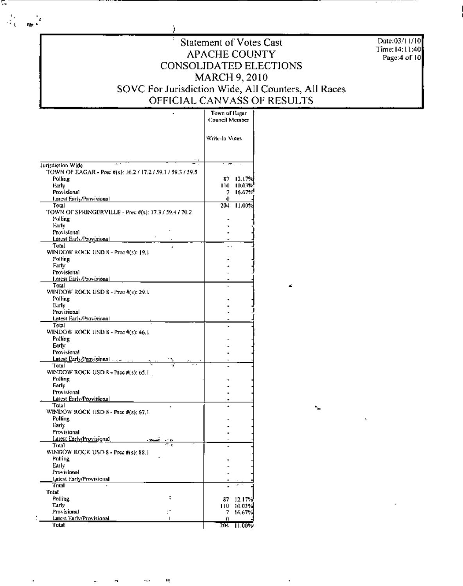J,

С,

 $\mathcal{A}_{\mathcal{C}}$ 

 $\mathbf{r}$ 

 $\cdot$ 

#### Statement of Votes Cast **APACHE COUNTY** CONSOLIDATED ELECTIONS MARCH 9, 2010 SOVC For Jurisdiction Wide, All Counters, All Races OFFICIAL CANVASS OF RESULTS

÷

═

Date:03/11/10 Time: 14:11:40 Page:4 of 10

|                                                                                  | томп от гадаг<br>Council Member |                  |
|----------------------------------------------------------------------------------|---------------------------------|------------------|
|                                                                                  | Write-In Votes                  |                  |
| Jurisdiction Wide                                                                |                                 |                  |
| TOWN OF EAGAR - Prec #(s): 16.2 / 17.2 / 59.1 / 59.3 / 59.5<br>Polling<br>Farly. | 87.<br>110.                     | 12.17%<br>10.03% |
| <b>Provisional</b><br>Latest Early/Provisional                                   | 7.<br>0.                        | 16.67%           |
| Total                                                                            | 204                             | 11.00%           |
| TOWN OF SPRINGERVILLE - Prec #(s): 17.3 / 59.4 / 70.2<br>Polling                 |                                 |                  |
| Harly,<br>Provisional                                                            |                                 |                  |
| Latest Early/Provisional                                                         |                                 |                  |
| Totul<br><b>WINDOW ROCK USD 8 - Prec #(5): 19.1</b>                              |                                 |                  |
| Polling<br>Farty                                                                 |                                 |                  |
| Provisional                                                                      |                                 |                  |
| Latest Early/Provisional                                                         |                                 |                  |
| Total<br>WINDOW ROCK USD 8 - Prec #(s): 29.1                                     |                                 |                  |
| Polling                                                                          |                                 |                  |
| Early                                                                            |                                 |                  |
| Provisional<br>Latest FarlyProvisional                                           |                                 |                  |
| <b>Total</b>                                                                     |                                 |                  |
| WINDOW ROCK USD 8 - Prec #(5): 46.1<br>Polling                                   |                                 |                  |
| Earty                                                                            |                                 |                  |
| Provisional                                                                      |                                 |                  |
| Latest Early Provisional $\ldots$ . $\ldots$<br>Total                            |                                 |                  |
| WINDOW ROCK USD $R = \text{Prec } H(s)$ : 65.1<br>Polling                        |                                 |                  |
| Early                                                                            |                                 |                  |
| Provisional                                                                      |                                 |                  |
| Latest Early/Provisional<br>Total                                                |                                 |                  |
| WINDOW ROCK USD $8$ - Prec $\bar{x}(s)$ ; 67,1<br>Polline                        |                                 |                  |
| Early                                                                            |                                 |                  |
| Provisional<br>Latest Early/Provisional                                          |                                 |                  |
| - 304<br>Tutal                                                                   |                                 |                  |
| WINDOW ROCK USD 8 - Pree Ms): 88.1<br>Polling                                    |                                 |                  |
| Early                                                                            |                                 |                  |
| Provisional                                                                      |                                 |                  |
| Latest Early/Provisional<br>Total                                                |                                 |                  |
| Total                                                                            |                                 |                  |
| ς<br>Polling                                                                     | 87                              | 12.17%           |
| Early<br>Provisional                                                             | 110                             | 10.03%           |
| Latest Early/Provisional                                                         | 7.<br>ſ.                        | 16,67%           |
| Total                                                                            | 204                             | $11.00\%$        |

 $\ddotsc$ 

Ŋ

á.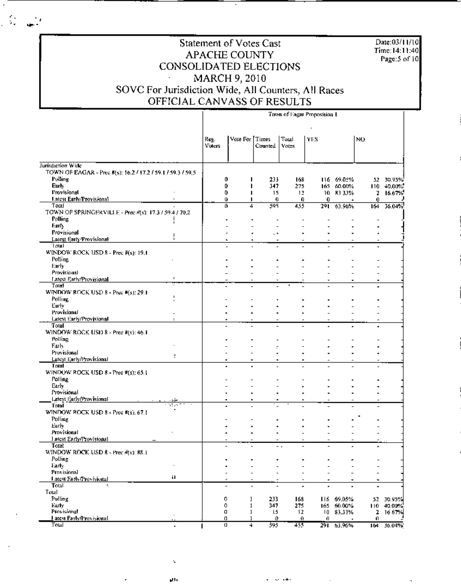Date:03/11/10 Time: 14:11:40 Page:  $5$  of  $10$ 

÷,

## Statement of Votes Cast APACHE COUNTY CONSOLIDATED ELECTIONS MARCH 9, 2010<br>SOVC For Jurisdiction Wide, All Counters, All Races<br>OFFICIAL CANVASS OF RESULTS

 $\frac{d}{2}$ 

 $\mathbf{r}$ 

|                                                                |              |                |                                                 |                          |                                 | Town of Eagar Proposition 1 |            |                          |                 |
|----------------------------------------------------------------|--------------|----------------|-------------------------------------------------|--------------------------|---------------------------------|-----------------------------|------------|--------------------------|-----------------|
|                                                                |              |                |                                                 |                          |                                 |                             |            |                          |                 |
|                                                                |              | Reg.<br>Voters | Vote For Times                                  | Counted                  | Тօш<br><b>Votes</b>             | YES                         |            | NO.                      |                 |
| Jurisdiction Wide                                              |              |                |                                                 |                          |                                 |                             |            |                          |                 |
| TOWN OF EAGAR - Prec #(s): 16.2 / 17.2 / 59.1 / 59.3 / 59.5    |              |                |                                                 |                          |                                 |                             |            |                          |                 |
| Polling                                                        |              |                | 0                                               | 233                      | 168                             |                             | 116 69.05% |                          | 52 30.95%       |
| Early                                                          |              |                | 0<br>п                                          | 347                      | 275                             |                             | 165 60.00% |                          | $110 - 40,00\%$ |
| Provisional                                                    |              |                | 0<br>п                                          | 15                       | 12                              |                             | 10 83 33%  | 2                        | 16.67%          |
| Latest Early Provisional                                       |              |                | Ü<br>п                                          | Ð                        | 0                               | 0                           |            | 0.                       |                 |
| Total<br>TOWN OF SPRINGERVILLE - Prec #(s): 17.3 / 59.4 / 70.2 |              |                | o<br>4                                          | 595                      | 455                             | 291.                        | 63.96%     | 164                      | 36.04%          |
| Polling                                                        |              |                |                                                 |                          |                                 |                             |            |                          |                 |
| Farty                                                          |              |                |                                                 |                          |                                 |                             |            |                          |                 |
| Provisional                                                    |              |                |                                                 |                          |                                 |                             |            |                          |                 |
| Latest Early Provisional                                       |              |                |                                                 |                          |                                 |                             |            |                          |                 |
| l otali                                                        |              |                |                                                 |                          |                                 |                             |            |                          |                 |
| WINDOW ROCK USD 8 - Prec #(s): 19.1                            |              |                |                                                 |                          |                                 |                             |            |                          |                 |
| Polling                                                        |              |                |                                                 |                          |                                 |                             |            |                          |                 |
| Early                                                          |              |                |                                                 |                          |                                 |                             |            |                          |                 |
| Provisional                                                    |              |                |                                                 |                          |                                 |                             |            |                          |                 |
| Latest Early/Provisional                                       | $\mathbf{I}$ |                |                                                 |                          |                                 |                             |            |                          |                 |
| Total                                                          |              |                |                                                 |                          |                                 |                             |            |                          |                 |
| WINDOW ROCK USD 8 - Prec #(s): 29.1<br>Polling                 |              |                |                                                 |                          |                                 |                             |            |                          |                 |
| Eurly                                                          |              |                |                                                 |                          |                                 |                             |            |                          |                 |
| Provisional                                                    |              |                |                                                 |                          |                                 |                             |            |                          |                 |
| Latest Early/Provisional                                       |              |                |                                                 |                          |                                 |                             |            |                          |                 |
| Total                                                          |              |                |                                                 |                          |                                 |                             |            |                          |                 |
| WINDOW ROCK USD 8 - Prec #(s): 46.1                            |              |                |                                                 |                          |                                 |                             |            |                          |                 |
| Polling                                                        |              |                |                                                 |                          |                                 |                             |            |                          |                 |
| Early                                                          |              |                |                                                 |                          |                                 |                             |            |                          |                 |
| Provisional                                                    | t            |                |                                                 |                          |                                 |                             |            |                          |                 |
| Latest Early/Provisional                                       |              |                |                                                 |                          |                                 |                             |            |                          |                 |
| Total                                                          |              |                |                                                 |                          |                                 |                             |            |                          |                 |
| WINDOW ROCK USD 8 - Prec #(s): 65.1                            |              |                |                                                 |                          |                                 |                             |            |                          |                 |
| Polling<br>Early                                               |              |                |                                                 |                          |                                 |                             |            |                          |                 |
| Provisional                                                    |              |                |                                                 |                          |                                 |                             |            |                          |                 |
| Latest Early Provisional                                       |              |                |                                                 |                          |                                 |                             |            |                          |                 |
| Total                                                          | W.           |                |                                                 |                          |                                 |                             |            |                          |                 |
| WINDOW ROCK USD 8 - Prec #(s): 67.1                            |              |                |                                                 |                          |                                 |                             |            |                          |                 |
| Polling                                                        |              |                |                                                 |                          |                                 |                             |            |                          |                 |
| Early                                                          |              |                |                                                 |                          |                                 |                             |            |                          |                 |
| Provisional                                                    |              |                |                                                 |                          |                                 |                             |            |                          |                 |
| Latest Enrly/Provisional                                       |              |                |                                                 |                          |                                 |                             |            |                          |                 |
| Total<br>WINDOW ROCK USD 8 - Prec #(s): 88.1                   |              |                |                                                 |                          | - 4<br>$\overline{\phantom{a}}$ |                             | ٠          |                          |                 |
| Polling                                                        |              |                |                                                 |                          |                                 |                             |            |                          |                 |
| Early                                                          | $\cdot$      |                |                                                 |                          |                                 |                             |            |                          |                 |
| Provisional                                                    |              |                |                                                 |                          |                                 |                             |            | $\overline{\phantom{0}}$ |                 |
| Latest Early Provisional                                       | н            |                | $\hat{\phantom{a}}$<br>$\overline{\phantom{a}}$ | $\overline{\phantom{a}}$ | $\overline{\phantom{a}}$        | ٠                           | ٠          | ۰                        |                 |
| Total<br>A.                                                    |              |                | $\overline{\phantom{m}}$                        |                          | ÷                               | ÷                           | ٠          | $\hat{\phantom{a}}$      |                 |
| Total                                                          |              |                |                                                 |                          |                                 |                             |            |                          |                 |
| Polling                                                        |              |                | 0<br>1                                          | 233                      | 168                             |                             | 116 69.05% |                          | 52 30.95%       |
| Early                                                          |              |                | 0<br>$\mathbf{1}$                               | 347                      | 275                             |                             | 165 60.00% |                          | 110 40.00%      |
| Provisional                                                    |              |                | o<br>ı                                          | 15                       | 12                              |                             | 10 83,33%  | 2                        | 16 67%          |
| <u>I atest Early/Provisional</u>                               |              |                | ο<br>ı                                          | o                        | €                               | 0                           |            | 0                        |                 |
| Total                                                          |              |                | $\sigma$<br>$\overline{4}$                      | 595                      | 455                             |                             | 291 63.96% |                          | 164 56.04%      |

 $\mathcal{L} = \mathcal{L} \mathcal{L}$ 

والو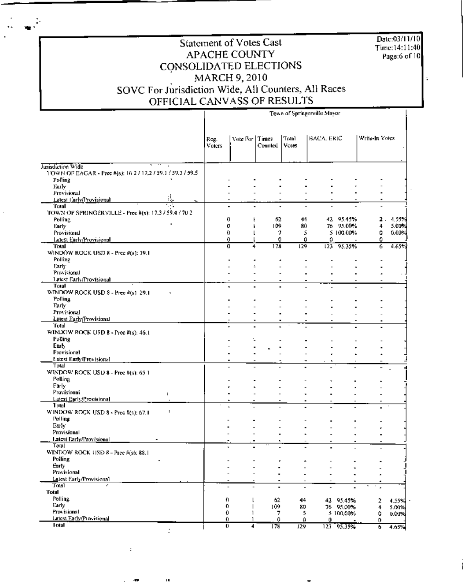Date:03/11/10<br>Time:14:11:40 Page:6 of 10

l.

#### Statement of Votes Cast APACHE COUNTY CONSOLIDATED ELECTIONS MARCH 9, 2010 SOVC For Jurisdiction Wide, All Counters, All Races OFFICIAL CANVASS OF RESULTS

|                                                             |                | Town of Springerville Mayor                          |                |                     |            |            |                |       |
|-------------------------------------------------------------|----------------|------------------------------------------------------|----------------|---------------------|------------|------------|----------------|-------|
|                                                             | Reg.<br>Voters | Vote For Times                                       | Counted        | Total<br>Votes      | HACA, ERIC |            | Write-In Votes |       |
| Jurisdiction Wide                                           |                |                                                      |                |                     |            |            |                |       |
| TOWN OF EAGAR - Prec #(s): 16 2 / 17,2 / 59.1 / 59.3 / 59.5 |                |                                                      |                |                     |            |            |                |       |
| Polling                                                     |                |                                                      |                |                     |            |            |                |       |
| Eurly<br>Provisional                                        |                |                                                      |                |                     |            |            |                |       |
| Latest Larly/Frovisional<br>$\frac{1}{2}$                   |                |                                                      |                |                     |            |            |                |       |
| 66<br>Total                                                 |                |                                                      | $\blacksquare$ | $\overline{a}$<br>٠ |            |            |                |       |
| TOWN OF SPRINGER VILLE - Prec #(s): 17.3 / 59.4 / 70 2      |                |                                                      |                |                     |            |            |                |       |
| Polling                                                     |                | 0<br>Ł                                               | 62             | 44                  |            | 42 95.45%  | 2.             | 4.55% |
| Early                                                       |                | O<br>ŀ                                               | 109            | 80                  |            | 76 95.00%  | 4              | 5.00% |
| Provisional                                                 |                | Ð                                                    | 7              | 5                   |            | 5 100.00%  | 0              | 0.00% |
| Latest Early/Provisional                                    |                | 0                                                    | O.             | 0                   | 0          |            | ٥              |       |
| Trual                                                       |                | O<br>4                                               | 178            | 129                 |            | 123 95.35% | 6              | 4.65% |
| WINDOW ROCK USD 8 - Prec #(s): 19.1                         |                |                                                      |                |                     |            |            |                |       |
| Polling                                                     |                |                                                      |                |                     |            |            |                |       |
| Early                                                       |                |                                                      | $\overline{a}$ |                     |            |            |                |       |
| Provisional                                                 |                |                                                      |                |                     |            |            |                |       |
| <b>Latest Early/Provisional</b>                             |                |                                                      |                | $\blacksquare$      |            |            |                |       |
| Total                                                       |                |                                                      |                |                     |            |            |                |       |
| WINDOW ROCK USD 8 - Prec #(s) 29.1                          |                |                                                      |                |                     |            |            |                |       |
| <b>Polling</b>                                              |                |                                                      |                |                     |            |            |                |       |
| Early                                                       |                |                                                      |                |                     |            |            |                |       |
| Provisional                                                 |                |                                                      |                |                     |            |            |                |       |
| Latest Early Provisional<br>Total                           |                |                                                      |                |                     |            |            |                |       |
|                                                             |                |                                                      |                |                     |            |            |                |       |
| WINDOW ROCK USD $B - \text{Proc } \hat{\pi}(s)$ : 46.1      |                | L                                                    |                |                     |            |            |                |       |
| Polling<br>Early                                            |                |                                                      |                |                     |            |            |                |       |
| Provisional                                                 |                |                                                      |                |                     |            |            |                |       |
| Latest Early/Provisional                                    |                |                                                      |                |                     |            |            |                |       |
| Total                                                       |                | $\blacksquare$                                       |                |                     |            |            |                |       |
| WINDOW ROCK USD 8 - Prec #(s): 65-1                         |                |                                                      |                |                     |            |            |                |       |
| Polling                                                     |                |                                                      |                |                     |            |            |                |       |
| Farly                                                       |                |                                                      |                |                     |            |            |                |       |
| Provisional<br>÷                                            |                |                                                      |                |                     |            |            |                |       |
| Latest Early/Provisional                                    |                |                                                      |                |                     |            |            |                |       |
| Total                                                       |                |                                                      |                |                     |            |            |                |       |
| WINDOW ROCK USD 8 - Prec #(s): 67.1<br>÷                    |                |                                                      |                |                     |            |            |                |       |
| Polling                                                     |                |                                                      |                |                     |            |            |                |       |
| Early                                                       |                |                                                      |                |                     |            |            |                |       |
| Provisional                                                 |                |                                                      |                |                     |            |            |                |       |
| <b>Latest Farly/Provisional</b>                             |                |                                                      |                |                     |            |            |                |       |
| Total                                                       |                |                                                      |                |                     |            |            |                |       |
| WINDOW ROCK USD 8 - Pree #(3): 88.1                         |                |                                                      |                |                     |            |            |                |       |
| Polling                                                     |                |                                                      |                |                     |            |            |                |       |
| Early:                                                      |                |                                                      |                |                     |            |            |                |       |
| Provisional                                                 |                |                                                      |                |                     |            |            |                |       |
| Latest Early/Provisional                                    |                |                                                      | ٠              |                     |            |            |                |       |
| Total                                                       |                | $\overline{\phantom{a}}$<br>$\overline{\phantom{a}}$ | ٠              |                     |            |            | $\blacksquare$ |       |
| Total                                                       |                |                                                      |                |                     |            |            |                |       |
| Polling                                                     |                | 0<br>l                                               | 62             | 44                  |            | 42 95.45%  | 2              | 4.55% |
| Early                                                       | 0              | ı                                                    | 109            | 80                  |            | 76 95.00%  | 4              | 5.00% |
| Provisional                                                 |                | Û<br>1                                               | 7              | 5                   |            | 5 100,00%  | 0              | 0.00% |
| Latest Early/Provisional                                    |                | 0                                                    | 0              | O.                  | 0.         |            | 0.             |       |
| latal                                                       |                | 0<br>4                                               | 178            | 129                 |            | 123 95.35% | 6              | 4.65% |

 $\overline{a}$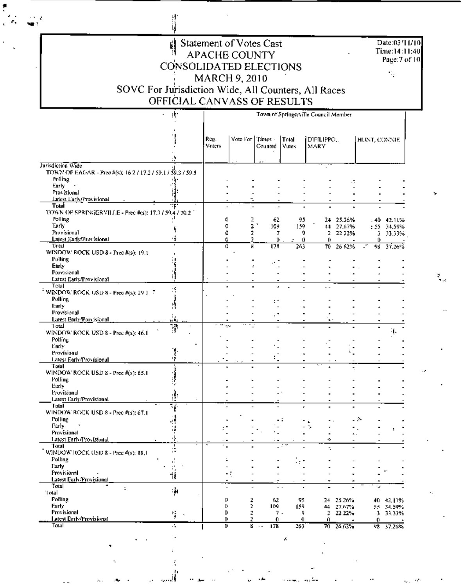| Statement of Votes Cast<br>APACHE COUNTY            | Ti |
|-----------------------------------------------------|----|
| CONSOLIDATED ELECTIONS                              |    |
| MARCH 9, 2010                                       |    |
| SOVC For Jurisdiction Wide, All Counters, All Races |    |
| OFFICIAL CANVASS OF RESULTS                         |    |

计算

f

unia<br>Nati

|                                                                               | 書                        | Town of Springerville Council Member |                          |                        |                          |                    |                                       |              |                |
|-------------------------------------------------------------------------------|--------------------------|--------------------------------------|--------------------------|------------------------|--------------------------|--------------------|---------------------------------------|--------------|----------------|
|                                                                               |                          | Ree.<br>Voters                       | Vote For                 | Times -<br>Counted     | Total<br>Votes           | DIFILIPPO.<br>MARY |                                       | HUNT, CONNIE |                |
|                                                                               |                          |                                      |                          |                        |                          |                    |                                       |              |                |
| Jurisdiction Wide                                                             |                          |                                      |                          |                        |                          |                    |                                       |              |                |
| TOWN OF EAGAR - Pree #(s); 16.2 / 17.2 / 59.1 / 59.3 / 59.5<br><b>Polling</b> |                          |                                      |                          |                        |                          |                    |                                       |              |                |
| Early                                                                         |                          |                                      |                          |                        |                          |                    |                                       |              |                |
| Provisional                                                                   |                          |                                      |                          |                        |                          |                    |                                       |              |                |
| Latest Eurly/Frovisional                                                      |                          |                                      | ٠.                       |                        |                          |                    |                                       |              |                |
| Tutal                                                                         |                          |                                      |                          |                        |                          |                    |                                       |              |                |
| TOWN OF SPRINGERVILLE - Prec #(s): 17.3 / 59.4 / 70.2                         |                          |                                      |                          |                        |                          |                    |                                       |              |                |
| Polling                                                                       |                          | 0                                    | 2                        | 62                     | 95                       |                    | 24 25.26%                             |              | - 40 42.11%    |
| Early:<br>Provisional                                                         |                          | 0<br>0                               | 2                        | 2<br>109<br>T          | 159<br>9                 | 2                  | 44 27.67%                             |              | : 55 34,59%    |
| Latest Early/Provisional                                                      |                          | û                                    | 2                        | U.                     | o                        | 0                  | 22 22%                                | 0            | 3 33.33%       |
| Total                                                                         |                          | 0                                    | X                        | 178                    | 263                      | 70.                | 26 62%                                | ∴*<br>98.    | 37.26%         |
| WINDOW ROCK USD 8 - Prec #(s): 19.1                                           |                          |                                      |                          |                        |                          |                    |                                       |              |                |
| Polling                                                                       |                          |                                      |                          |                        |                          |                    |                                       |              |                |
| Early                                                                         |                          |                                      |                          |                        |                          |                    |                                       |              |                |
| Provisional                                                                   |                          |                                      |                          |                        |                          |                    |                                       |              |                |
| <b>Latest Early/Provisional</b><br>Total                                      |                          |                                      |                          |                        |                          |                    |                                       |              |                |
| WINDOW ROCK USD 8 - Prec #(s): 29 1 $\%$                                      | S                        |                                      |                          |                        |                          |                    |                                       |              |                |
| Polling                                                                       |                          |                                      |                          |                        |                          |                    |                                       |              |                |
| Early                                                                         |                          |                                      |                          |                        |                          |                    |                                       |              |                |
| Provisional                                                                   |                          |                                      |                          |                        |                          |                    |                                       |              |                |
| Latest Early/Provisional                                                      | ورقور                    |                                      |                          |                        |                          | Ξ.                 |                                       |              |                |
| Total                                                                         | Ŧ                        |                                      | 422                      |                        |                          |                    |                                       |              |                |
| WINDOW ROCK USD 8 - Prec #(s): 46.1                                           |                          |                                      |                          |                        |                          |                    |                                       |              |                |
| Polling                                                                       |                          |                                      |                          |                        |                          |                    |                                       |              |                |
| tiachy<br>Provisional                                                         |                          |                                      |                          |                        |                          |                    |                                       |              |                |
| Latest Early/Provisional                                                      | ŀþ                       |                                      |                          |                        |                          |                    |                                       |              |                |
| Total                                                                         |                          |                                      |                          |                        |                          |                    | t                                     |              |                |
| WINDOW ROCK USD 8 - Prec #(s): 65.1                                           |                          |                                      |                          |                        |                          |                    |                                       |              |                |
| Polling                                                                       |                          |                                      |                          |                        |                          |                    |                                       |              |                |
| Early                                                                         |                          |                                      |                          |                        |                          |                    |                                       |              |                |
| Provisional                                                                   | β.                       |                                      |                          |                        |                          |                    |                                       |              |                |
| Latest Early/Provisional<br>Total                                             |                          |                                      |                          |                        |                          |                    |                                       |              |                |
| WINDOW ROCK USD 8 - Prec #(s): 67.1                                           | $\overline{\mathcal{C}}$ |                                      |                          |                        |                          |                    |                                       |              |                |
| Polling                                                                       | į,                       |                                      |                          |                        |                          |                    |                                       | - 2          |                |
| Farly                                                                         | ï,                       |                                      |                          |                        |                          | ÷.                 |                                       |              |                |
| Provisional                                                                   |                          |                                      |                          |                        |                          |                    | $\overline{\phantom{a}}$ .            |              |                |
| Latest Early/Provisional                                                      |                          |                                      |                          |                        |                          | ٥                  |                                       |              |                |
| Total                                                                         |                          |                                      |                          |                        | - 17                     |                    |                                       |              |                |
| WINDOW ROCK USD 8 - Prec #(s): 88.1                                           |                          |                                      |                          |                        |                          |                    |                                       |              |                |
| Polling<br>Farty                                                              | $\mathbf{I}$ .           | ÷                                    |                          |                        |                          |                    |                                       |              |                |
| Provisional                                                                   | ш<br>٠,                  |                                      |                          |                        |                          |                    |                                       |              |                |
| Latest Early Provisional                                                      | 悄                        |                                      | - 1                      |                        |                          |                    |                                       |              |                |
| Total<br>÷                                                                    |                          | A,<br>$\overline{\phantom{a}}$       | $\overline{\phantom{m}}$ |                        | $\overline{\phantom{a}}$ | -                  |                                       | riz.         |                |
| Total                                                                         | ्रीन                     |                                      |                          |                        |                          |                    |                                       |              |                |
| <b>Polling</b>                                                                |                          | 0                                    | 2                        | 62                     | 95                       | 24.                | 25.26%                                |              | 40 42,11%      |
| Early                                                                         |                          | 0                                    | 2                        | 109                    | 159                      |                    | 44 27.67%                             |              | 55 34.59%      |
| Provisional<br>Latest Early/Provisional                                       | 5<br>$\Delta$            | ٥                                    | z                        | $7 -$                  | 9                        | 2.                 | 22.22%                                | 1            | 33.33%         |
| Total                                                                         | ÷.                       | 0.<br>o                              | z<br>8                   | 0.<br>178<br>$\cdot$ . | Ю.<br>263                | 0.                 | $\overline{\phantom{a}}$<br>70 26.62% | Ω.           | $\overline{a}$ |
|                                                                               |                          |                                      |                          |                        |                          |                    |                                       |              | 98 37.26%      |

ĉ ٠.  $\mathbf{x}$ 

Date:03/11/10<br>Time:14:11:40<br>Page:7 of 10

 $\tilde{\mathcal{V}}_k$ 

 $\frac{3}{2} \frac{1}{16}$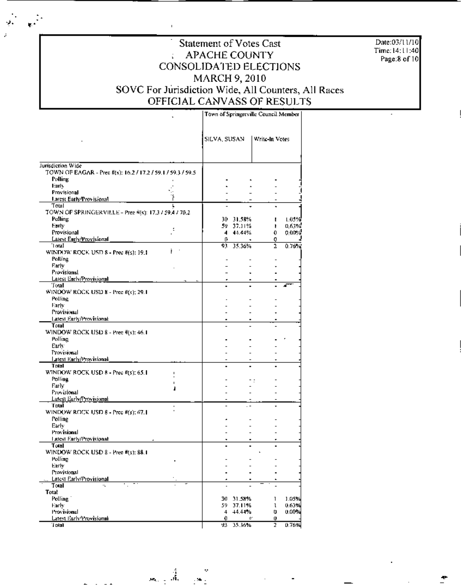Date:03/11/10 Time: 14:11:40<br>Page:8 of 10

#### Statement of Votes Cast **APACHE COUNTY** ÷. CONSOLIDATED ELECTIONS MARCH 9, 2010 SOVC For Jurisdiction Wide, All Counters, All Races OFFICIAL CANVASS OF RESULTS

|                                                                                  |    | Town of Springerville Council Member |               |                |       |
|----------------------------------------------------------------------------------|----|--------------------------------------|---------------|----------------|-------|
|                                                                                  |    | SILVA, SUSAN                         |               | Write-In Votes |       |
|                                                                                  |    |                                      |               |                |       |
| Jurisdiction Wide<br>TOWN OF EAGAR - Prec #(s): 16.2 / 17.2 / 59.1 / 59.3 / 59.5 |    |                                      |               |                |       |
| Polling                                                                          |    |                                      |               |                |       |
| Early                                                                            |    |                                      |               |                |       |
| Provisional                                                                      |    |                                      |               |                |       |
| Larest Early Provisional<br>Total                                                |    |                                      |               |                |       |
| TOWN OF SPRINGERVILLE - Pree #(s): 17,3 / 59,4 / 70,2                            |    |                                      |               |                |       |
| Polling                                                                          |    |                                      | 30 - 31.5B% - | ı              | 1.05% |
| Harty.                                                                           |    |                                      | 59 37.11%     | ŧ.             | 0,63% |
| Provisional                                                                      | ÷  |                                      | 4 44.44%      | 0.             | 0,00% |
| <b>Latest Early/Provisional</b>                                                  |    | Œ                                    |               | o              |       |
| 'I otal                                                                          | į. | 93                                   | 35.36%        | 2              | 0.76% |
| WINDOW ROCK USD 8 - Prec #(s): 19.1                                              |    |                                      |               |                |       |
| Polling<br>Early                                                                 |    |                                      |               |                |       |
| Provisional                                                                      |    |                                      |               |                |       |
| Latest Early/Provisional                                                         |    |                                      |               |                |       |
| Total                                                                            |    |                                      |               |                |       |
| WINDOW ROCK USD $B$ - Prec $\#(s)$ ; 29.1                                        |    |                                      |               |                |       |
| Polling                                                                          |    |                                      |               |                |       |
| Farly                                                                            |    |                                      |               |                |       |
| Provisional                                                                      |    |                                      |               |                |       |
| Latest Early/Provisional<br>Total                                                |    |                                      |               |                |       |
| WINDOW ROCK USD $8$ - Prec $\frac{1}{2}$ (s): 46.1                               |    |                                      |               |                |       |
| Polling                                                                          |    |                                      |               |                |       |
| Early                                                                            |    |                                      |               |                |       |
| Provisional                                                                      |    |                                      |               |                |       |
| Latest Early/Provisional                                                         |    |                                      |               |                |       |
| Total                                                                            |    |                                      |               |                |       |
| WINDOW ROCK USD 8 - Prec #(s): 65.1                                              |    |                                      |               |                |       |
| Polling<br>Farly                                                                 |    |                                      |               |                |       |
| Provisional                                                                      |    |                                      |               |                |       |
| Latest EarlyTrovisional                                                          |    |                                      |               |                |       |
| Total                                                                            |    |                                      |               |                |       |
| WINDOW ROCK USD $8$ - Prec $\#(s)$ ; 67.1                                        |    |                                      |               |                |       |
| Polling                                                                          |    |                                      |               |                |       |
| Early                                                                            |    |                                      |               |                |       |
| Provisional                                                                      |    |                                      |               |                |       |
| Latest Early/Provisional<br>Total                                                |    |                                      |               |                |       |
| WINDOW ROCK USD 8 - Pree #(s): 88.1                                              |    |                                      |               |                |       |
| Polling                                                                          |    |                                      |               |                |       |
| Early                                                                            |    |                                      |               |                |       |
| Provisional                                                                      |    |                                      |               |                |       |
| Latest Early/Provisional                                                         |    |                                      |               |                |       |
| Total                                                                            |    |                                      |               |                |       |
| Total<br>Polling <sup>*</sup>                                                    |    |                                      | 30 31.58%     | 1              | 1.05% |
| Harly.                                                                           |    |                                      | 59 37.11%     | ı              | 0.63% |
| Provisional                                                                      |    |                                      | 4 44.44%      | U              | 0.00% |
| Latest Early Provisional                                                         |    | 0.                                   | ō.            | 0              |       |
| i olal                                                                           |    |                                      | 93 35.36%     | 2              | 0.76% |

رو<br>په د لوم

 $\mathbb{R}^2$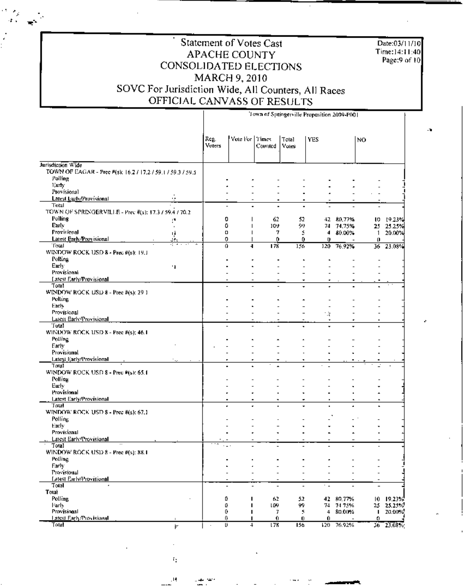| Statement of Votes Cast                             |
|-----------------------------------------------------|
| <b>APACHE COUNTY</b>                                |
| CONSOLIDATED ELECTIONS                              |
| MARCH 9, 2010                                       |
| SOVC For Jurisdiction Wide, All Counters, All Races |
| OFFICIAL CANVASS OF RESULTS                         |

 $\gamma_{\rm g}$ 

 $\omega^2$ 

Date:03/11/10 Time:14:11:40 Page:9 of 10

- 30

#### Town of Springerville Proposition 2009-P001 Reg. Vote For Times Total YES NO. Voters Counted Votes Jurisdiction Wide TOWN OF EAGAR - Prec #(s): 16.2 / 17.2 / 59.1 / 59.3 / 59.5 Polling Early Provisional  $\overline{a}$ L. A. Latest EurlyProvisional Total ÷,  $\blacksquare$  $\blacksquare$  $\blacksquare$ TOWN OF SPRINGERVILLE - Prec #(s): 17.3 / 59.4 / 70.2 Polling 0 62 52 42 80,77% 10 19:23%  $\overline{1}$ ŗ. **Party** 99 0  $\overline{1}$ 109 74 74,75% 25 25.25% Provisional o 7 5  $\blacktriangleleft$  $80.00%$ 20.00% ų  $\overline{\phantom{a}}$  $\mathbf{1}$ Latest Early/Provisional 0 ú. O. f) 0  $\theta$ Total Ó  $\overline{4}$ 178 156  $120$ 76.92% 36 23.08% WINDOW ROCK USD 8 - Prec #(s): 19.1 Polling Early 11  $\blacksquare$ ÷  $\overline{\phantom{a}}$ .  $\overline{\phantom{a}}$ Provisional  $\overline{a}$ **Latest Early/Provisional** Total WINDOW ROCK USD 8 - Prec #(s): 29 1 Polling Early  $\overline{a}$  $\overline{a}$  $\overline{a}$  $\overline{a}$ Provisional Ğ Latest Early Provisional Tutal WINDOW ROCK USD 8 - Prec #(5); 46.1 Polling  $\overline{\phantom{a}}$  $\ddot{\phantom{0}}$ Early Provisional L.  $\ddot{\phantom{0}}$  $\overline{a}$ Latest Early/Provisional Tolal  $\blacksquare$ WINDOW ROCK USD 8 - Prec #(s): 65.1 Polling Eurly  $\overline{a}$  $\overline{a}$ L.  $\overline{a}$  $\overline{a}$  $\overline{a}$  $\overline{a}$ Provisional  $\overline{a}$ Latest Early/Provisional Total WINDOW ROCK USD 8 - Prec #(s): 67.1 Polling L, Early  $\overline{a}$  $\overline{a}$ Provisional Ĭ.  $\blacksquare$ Latest Early Provisional Total WINDOW ROCK USD 8 - Prec #(s): 88.1 Polling Early  $\blacksquare$ ä L. ÷,  $\overline{a}$  $\overline{a}$  $\overline{a}$ Provisional  $\overline{a}$  $\overline{a}$ ÷,  $\overline{a}$  $\overline{a}$  $\overline{a}$ Latest Early/Provisional Total  $\overline{\phantom{a}}$  $\overline{\phantom{a}}$ Total Polling ₿  $\mathbf I$ 62 52 42 80.77% 10 19.23%  $25.25\%$ Farly Œ 109 99 74 74.75%  $25\,$  $\mathbf{I}$ Provisional 0 Ï 7 5  $\overline{4}$ 80.00%  $\mathbf{I}$ 20.00% Latest Early/Provisional ŋ. Û  $\bf{0}$ Û ο Total U 178 156  $120 -$ 76.92% 23.08%  $\overline{4}$ 36 İ۳

 $\mathbf{r}_1$ 

, ų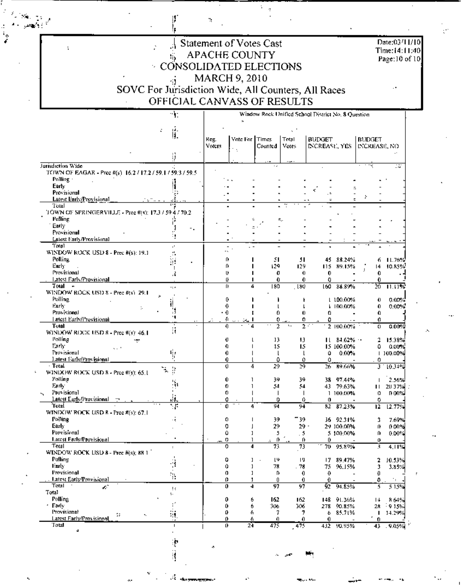| $\frac{1}{2}$ Statement of Votes Cast                     | Date:03/11/10                  |  |
|-----------------------------------------------------------|--------------------------------|--|
| APACHE COUNTY                                             | Time:14:11:40<br>Page:10 of 10 |  |
| CONSOLIDATED ELECTIONS                                    |                                |  |
| MARCH 9, 2010<br>$\bullet$                                |                                |  |
| SOVC For Jurisdiction Wide, All Counters, All Races       | . .                            |  |
| OFFICIAL CANVASS OF RESULTS                               |                                |  |
| Window Rock Unified School District No. 8 Ovestion.<br>90 |                                |  |

 $\begin{bmatrix} 1 \\ 1 \end{bmatrix}$ 

أأدوا والعيا

 $\ddot{\phantom{a}}$ 

 $\mathcal{S}$ 

 $\mathbf{R}$ 

÷,  $\cdot$ 

**L** 

| Ψ.                                                                           | Window Rock Unified School District No. 8 Ouestion |                          |          |                     |                |            |                 |           |
|------------------------------------------------------------------------------|----------------------------------------------------|--------------------------|----------|---------------------|----------------|------------|-----------------|-----------|
|                                                                              |                                                    | ×                        |          |                     |                |            |                 |           |
| Ú.<br>c.                                                                     |                                                    |                          |          |                     |                |            |                 |           |
|                                                                              | Reg.                                               | Vote For Firmes          |          | Total               | <b>BUDGET</b>  |            | <b>BUDGET</b>   |           |
|                                                                              | Voters                                             | ÷.                       | Counted  | Votes               | INCREASE, YES  |            | INCREASE, NO    |           |
| ij.                                                                          |                                                    |                          |          |                     |                |            |                 |           |
| Jurisdiction Wide                                                            |                                                    |                          |          |                     |                |            |                 | ು         |
| TOWN OF EAGAR - Prec #(s) 16.2 / 17.2 / 59.1 / 59.3 / 59.5                   |                                                    |                          |          |                     |                |            |                 |           |
| Polling :                                                                    |                                                    |                          |          |                     |                |            |                 |           |
| Early                                                                        |                                                    |                          |          |                     |                |            |                 |           |
| Provisional                                                                  |                                                    |                          |          |                     | Ξ.             |            | ž,              |           |
| Latest Early/Provisional                                                     |                                                    |                          |          |                     |                | Е          |                 |           |
| Total<br>TOWN OF SPRINGERVILLE - Prec #(s): 17.3 / 59 4 / 70.2               |                                                    |                          |          |                     |                |            |                 |           |
| Polling                                                                      |                                                    |                          | ċ,       | .,ّ≐                |                |            |                 |           |
| Early                                                                        |                                                    |                          |          |                     |                |            |                 |           |
| ٠.<br>Provisional                                                            |                                                    |                          |          |                     |                |            |                 |           |
| Latest Early/Provisional                                                     |                                                    |                          |          |                     |                |            |                 |           |
| Total                                                                        |                                                    | $\overline{\phantom{a}}$ |          |                     |                |            |                 |           |
| WINDOW ROCK USD 8 - Prec #(s): 19.1                                          |                                                    |                          |          |                     |                |            |                 |           |
| Polling<br>Ŷ.<br>Early:                                                      |                                                    | Ĥ,<br>Ĥ.                 | 51       | 51                  | 45.            | 88.24%     |                 | ึก 11.76% |
| ÷<br>Provisional<br>3                                                        |                                                    | U                        | 129<br>o | 129<br>0            | 115<br>0       | 89.15%     | 4<br>0          | 10.85%    |
| Latest Early/Provisional                                                     |                                                    | Ű                        | 0        | 0                   | o              |            | 0               |           |
| Total<br>$\mathbf{r}$<br>÷.                                                  |                                                    | ſŀ<br>4                  | 180      | 180                 | 160            | 84.89%     | 26              | 11.11%    |
| WINDOW ROCK USD 8 - Prec #(s) 29.1                                           |                                                    |                          |          |                     |                |            |                 |           |
| Polling<br>ìį                                                                |                                                    | 0                        |          | ŧ                   |                | 1100.00%   | 0               | $0.00\%$  |
| Early:<br>t.<br>3                                                            |                                                    | 0                        |          | ı                   |                | L 100.00%  | 0               | $0.00\%$  |
| Provisional<br>٠                                                             | - 0                                                |                          | 0        | 0                   | 0              |            | 0.              |           |
| Latest EarlyProvisional<br>Total                                             |                                                    | ſı<br>0                  | ο<br>2   | 0<br>Ž.             | o              | 2 100,00%  | Ω<br>$\bf{c}$   | 0.00%     |
| Ħ<br>WINDOW ROCK USD $8 -$ Prec #(s): 46.1                                   |                                                    |                          |          |                     |                |            |                 |           |
| Polling<br>÷                                                                 |                                                    | Ü<br>т                   | 13       | 13                  | $\mathbf{H}$   | $8 - 62%$  | 2               | 15.38%    |
| Early:                                                                       |                                                    | O                        | 15       | 15                  |                | 15 100,00% | ٥               | 0.00%     |
| ۹.<br>Provisional                                                            |                                                    | 0                        | t        | ı                   | û              | 0.00%      |                 | 1-100.00% |
| Latest Farly/Provisional                                                     |                                                    | 0                        | ٥        | Ô.                  | ٥              |            | 0               |           |
| $-$ Total<br>ጜ<br>¥<br>WINDOW ROCK USD 8 - Pree #(s): 65.1                   |                                                    | Ù<br>4                   | 29       | 29                  | 26.            | 89.66%     | Э               | 10.34%    |
| Polling                                                                      |                                                    | Û<br>1                   | 39       | 39                  |                | 38 97.44%  |                 | 2.56%     |
| Ņ,<br>Early:                                                                 |                                                    | 0<br>ı                   | 54       | 54                  |                | 43 79.63%  | ш               | 20.37%    |
| Provisional                                                                  |                                                    | 0                        |          | 1                   |                | 1 100,00%  | ο               | n on%l    |
| Latest Euriv/Provisional<br>χÄ.                                              |                                                    | 0                        | Û        | û                   | 0              |            | 0               |           |
| ٦F<br>Total                                                                  |                                                    | Û<br>4                   | 94       | 94                  | 82             | 87.23%     | $\overline{12}$ | 12.77%    |
| WINDOW ROCK USD R - Pree #(s): 67.1                                          |                                                    |                          |          |                     |                |            |                 |           |
| Polling<br>٠t,<br>Early                                                      |                                                    | 0                        | 39       | - 39                |                | 36 92.31%  | 3               | 7.69%     |
| Provisional                                                                  |                                                    | 0<br>û<br>1              | 29<br>5  | $29 -$              |                | 29.100.00% | Ü.<br>0         | 0 On%     |
| <b>Latest Farly/Provisional</b>                                              |                                                    | o                        | o        | . 5<br>Ũ.           | 0              | 5 100,00%  | 0               | 0.00%     |
| Total                                                                        |                                                    | ō<br>đ                   | 73       | 73                  | 70.            | 95.89%     | 3               | 4.11%     |
| WINDOW ROCK USD $\boldsymbol{8}$ - Prec $\#(\boldsymbol{\mathrm{s}}) ;$ 88-1 |                                                    |                          |          |                     |                |            |                 |           |
| Polling                                                                      |                                                    | Û<br>J.                  | l۴       | 19                  |                | 17 89.47%  | 2               | 10.53%    |
| Early<br>i.                                                                  |                                                    | û<br>ı                   | 78       | . 78                | 75. .          | 96.15%     | 3               | 3.85%     |
| Provisional                                                                  |                                                    | 0<br>1                   | D.       | $\ddot{\mathbf{0}}$ | $\theta$       |            | O               |           |
| <b>Latest Early Provisional</b><br>Total                                     |                                                    | 0<br>J.<br>0<br>4        | 0<br>97  | $\mathbf{0}$<br>97  | $\theta$<br>92 |            | 0               | ÷.        |
| e.<br>Ţ.<br>Total<br>٠.                                                      |                                                    |                          |          |                     |                | 94.85%     | 5               | 515%      |
| Polling                                                                      |                                                    | 0<br>6                   | 162      | 162                 |                | 148 91.36% | 14              | 8.64%     |
| 1 Forly                                                                      |                                                    | 0<br>6                   | 306      | 106                 |                | 278 90.85% | 28              | - 915%    |
| Provisional<br>Ŵ,<br>÷.<br>۰.                                                |                                                    | 0<br>4                   | 7        | 7.                  |                | 6 85.71%   | п               | 14.29%    |
| Latest Early/Provisional                                                     |                                                    | o<br>4                   | 0        | 0.                  | 0              |            | 0               |           |
| Total<br>$\mathbf{I}$<br>a<br>$\blacksquare$                                 |                                                    | Ü.<br>24                 | 475      | 475                 |                | 432 90.95% | 43              | $-9.05%$  |

津道

A,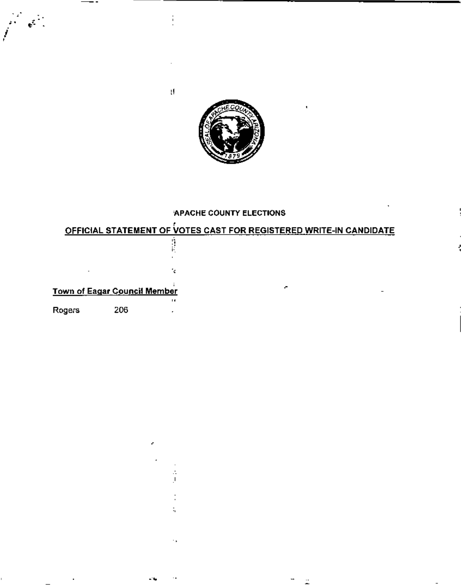

 $\mathfrak{g}$ 

#### APACHE COUNTY ELECTIONS

#### OFFICIAL STATEMENT OF VOTES CAST FOR REGISTERED WRITE-IN CANDIDATE

|        | <u> Town of Eagar Council Member</u> |   |  | ÷ |  |
|--------|--------------------------------------|---|--|---|--|
| Rogers | 206                                  | ы |  |   |  |